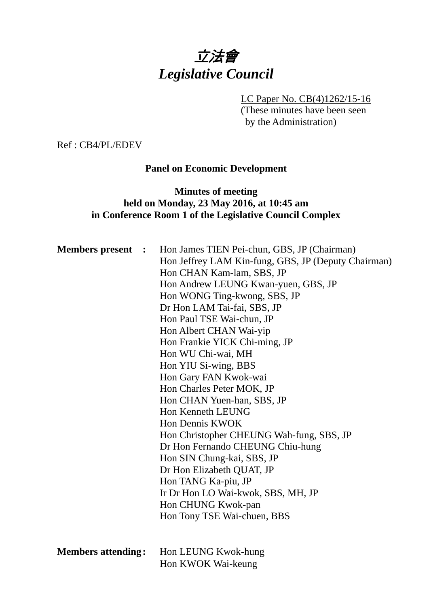# 立法會 *Legislative Council*

# LC Paper No. CB(4)1262/15-16

(These minutes have been seen by the Administration)

Ref : CB4/PL/EDEV

#### **Panel on Economic Development**

### **Minutes of meeting held on Monday, 23 May 2016, at 10:45 am in Conference Room 1 of the Legislative Council Complex**

| <b>Members present :</b>  | Hon James TIEN Pei-chun, GBS, JP (Chairman)<br>Hon Jeffrey LAM Kin-fung, GBS, JP (Deputy Chairman)<br>Hon CHAN Kam-lam, SBS, JP<br>Hon Andrew LEUNG Kwan-yuen, GBS, JP<br>Hon WONG Ting-kwong, SBS, JP<br>Dr Hon LAM Tai-fai, SBS, JP<br>Hon Paul TSE Wai-chun, JP<br>Hon Albert CHAN Wai-yip<br>Hon Frankie YICK Chi-ming, JP<br>Hon WU Chi-wai, MH<br>Hon YIU Si-wing, BBS<br>Hon Gary FAN Kwok-wai<br>Hon Charles Peter MOK, JP<br>Hon CHAN Yuen-han, SBS, JP<br>Hon Kenneth LEUNG<br>Hon Dennis KWOK<br>Hon Christopher CHEUNG Wah-fung, SBS, JP<br>Dr Hon Fernando CHEUNG Chiu-hung<br>Hon SIN Chung-kai, SBS, JP<br>Dr Hon Elizabeth QUAT, JP<br>Hon TANG Ka-piu, JP<br>Ir Dr Hon LO Wai-kwok, SBS, MH, JP<br>Hon CHUNG Kwok-pan<br>Hon Tony TSE Wai-chuen, BBS |
|---------------------------|-----------------------------------------------------------------------------------------------------------------------------------------------------------------------------------------------------------------------------------------------------------------------------------------------------------------------------------------------------------------------------------------------------------------------------------------------------------------------------------------------------------------------------------------------------------------------------------------------------------------------------------------------------------------------------------------------------------------------------------------------------------------------|
| <b>Members attending:</b> | Hon LEUNG Kwok-hung<br>Hon KWOK Wai-keung                                                                                                                                                                                                                                                                                                                                                                                                                                                                                                                                                                                                                                                                                                                             |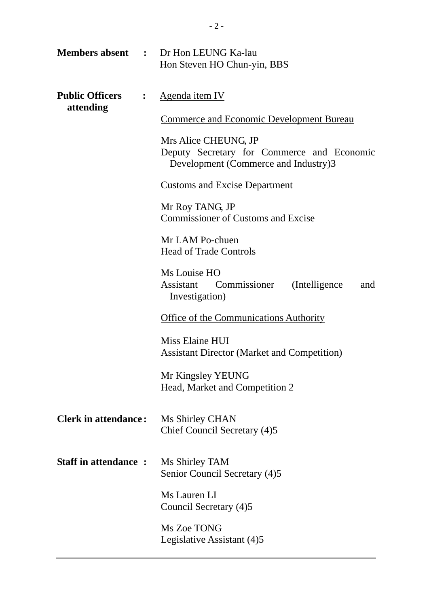|                                     |                | <b>Members absent : Dr Hon LEUNG Ka-lau</b><br>Hon Steven HO Chun-yin, BBS                                 |  |
|-------------------------------------|----------------|------------------------------------------------------------------------------------------------------------|--|
| <b>Public Officers</b><br>attending | $\ddot{\cdot}$ | Agenda item IV                                                                                             |  |
|                                     |                | <b>Commerce and Economic Development Bureau</b>                                                            |  |
|                                     |                | Mrs Alice CHEUNG, JP<br>Deputy Secretary for Commerce and Economic<br>Development (Commerce and Industry)3 |  |
|                                     |                | <b>Customs and Excise Department</b>                                                                       |  |
|                                     |                | Mr Roy TANG, JP<br><b>Commissioner of Customs and Excise</b>                                               |  |
|                                     |                | Mr LAM Po-chuen<br><b>Head of Trade Controls</b>                                                           |  |
|                                     |                | Ms Louise HO<br>Assistant Commissioner<br>(Intelligence)<br>and<br>Investigation)                          |  |
|                                     |                | <b>Office of the Communications Authority</b>                                                              |  |
|                                     |                | Miss Elaine HUI<br><b>Assistant Director (Market and Competition)</b>                                      |  |
|                                     |                | Mr Kingsley YEUNG<br>Head, Market and Competition 2                                                        |  |
| <b>Clerk in attendance:</b>         |                | Ms Shirley CHAN<br>Chief Council Secretary (4)5                                                            |  |
| <b>Staff in attendance:</b>         |                | Ms Shirley TAM<br>Senior Council Secretary (4)5                                                            |  |
|                                     |                | Ms Lauren LI<br>Council Secretary (4)5                                                                     |  |
|                                     |                | Ms Zoe TONG<br>Legislative Assistant (4)5                                                                  |  |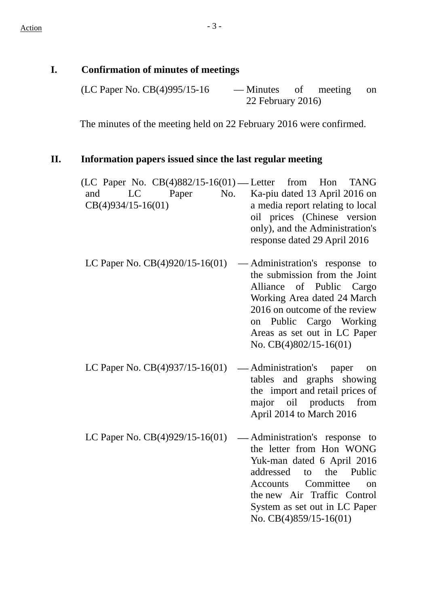# **I. Confirmation of minutes of meetings**

| (LC Paper No. $CB(4)995/15-16$ | — Minutes of meeting on |  |  |  |
|--------------------------------|-------------------------|--|--|--|
|                                | 22 February 2016)       |  |  |  |

The minutes of the meeting held on 22 February 2016 were confirmed.

# **II. Information papers issued since the last regular meeting**

| (LC Paper No. $CB(4)882/15-16(01)$ — Letter from Hon<br>No.<br>LC<br>Paper<br>and<br>$CB(4)934/15-16(01)$ | <b>TANG</b><br>Ka-piu dated 13 April 2016 on<br>a media report relating to local<br>oil prices (Chinese version<br>only), and the Administration's<br>response dated 29 April 2016                                                                    |
|-----------------------------------------------------------------------------------------------------------|-------------------------------------------------------------------------------------------------------------------------------------------------------------------------------------------------------------------------------------------------------|
| LC Paper No. $CB(4)920/15-16(01)$                                                                         | — Administration's response to<br>the submission from the Joint<br>Alliance of Public Cargo<br>Working Area dated 24 March<br>2016 on outcome of the review<br>Public Cargo Working<br>on<br>Areas as set out in LC Paper<br>No. $CB(4)802/15-16(01)$ |
| LC Paper No. $CB(4)937/15-16(01)$                                                                         | — Administration's paper<br>on<br>tables and graphs<br>showing<br>the import and retail prices of<br>major oil products from<br>April 2014 to March 2016                                                                                              |
| LC Paper No. CB(4)929/15-16(01)                                                                           | Administration's response to<br>the letter from Hon WONG<br>Yuk-man dated 6 April 2016<br>addressed<br>to the Public<br>Committee<br>Accounts<br>on<br>the new Air Traffic Control<br>System as set out in LC Paper<br>No. $CB(4)859/15-16(01)$       |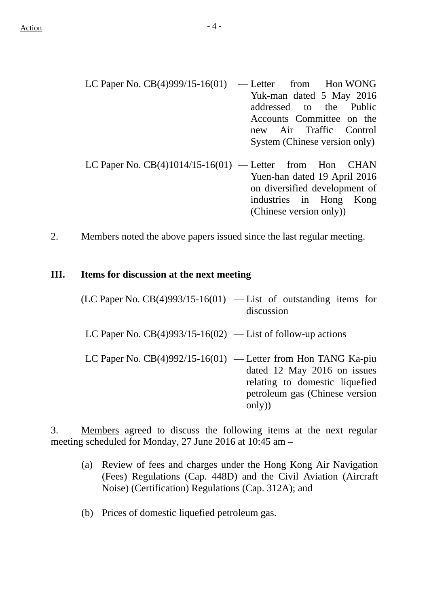- LC Paper No.  $CB(4)999/15-16(01)$  Letter from Hon WONG Yuk-man dated 5 May 2016 addressed to the Public Accounts Committee on the new Air Traffic Control System (Chinese version only)
- LC Paper No.  $CB(4)1014/15-16(01)$  Letter from Hon CHAN Yuen-han dated 19 April 2016 on diversified development of industries in Hong Kong (Chinese version only))
- 2. Members noted the above papers issued since the last regular meeting.

#### **III. Items for discussion at the next meeting**

| $(LC$ Paper No. $CB(4)993/15-16(01)$ — List of outstanding items for | discussion                                                                                                                                                                  |
|----------------------------------------------------------------------|-----------------------------------------------------------------------------------------------------------------------------------------------------------------------------|
| LC Paper No. $CB(4)993/15-16(02)$ — List of follow-up actions        |                                                                                                                                                                             |
|                                                                      | LC Paper No. $CB(4)992/15-16(01)$ — Letter from Hon TANG Ka-piu<br>dated 12 May 2016 on issues<br>relating to domestic liquefied<br>petroleum gas (Chinese version<br>only) |

3. Members agreed to discuss the following items at the next regular meeting scheduled for Monday, 27 June 2016 at 10:45 am –

- (a) Review of fees and charges under the Hong Kong Air Navigation (Fees) Regulations (Cap. 448D) and the Civil Aviation (Aircraft Noise) (Certification) Regulations (Cap. 312A); and
- (b) Prices of domestic liquefied petroleum gas.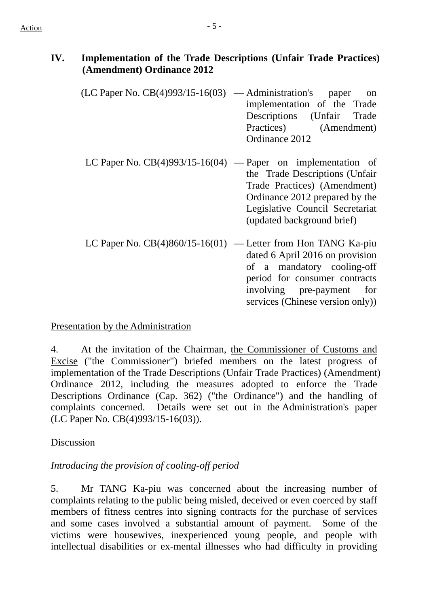## **IV. Implementation of the Trade Descriptions (Unfair Trade Practices) (Amendment) Ordinance 2012**

- $(LC$  Paper No.  $CB(4)993/15-16(03)$  Administration's paper on implementation of the Trade Descriptions (Unfair Trade Practices) (Amendment) Ordinance 2012
- LC Paper No.  $CB(4)993/15-16(04)$  Paper on implementation of the Trade Descriptions (Unfair Trade Practices) (Amendment) Ordinance 2012 prepared by the Legislative Council Secretariat (updated background brief)
- LC Paper No. CB(4)860/15-16(01) Letter from Hon TANG Ka-piu dated 6 April 2016 on provision of a mandatory cooling-off period for consumer contracts involving pre-payment for services (Chinese version only))

### Presentation by the Administration

4. At the invitation of the Chairman, the Commissioner of Customs and Excise ("the Commissioner") briefed members on the latest progress of implementation of the Trade Descriptions (Unfair Trade Practices) (Amendment) Ordinance 2012, including the measures adopted to enforce the Trade Descriptions Ordinance (Cap. 362) ("the Ordinance") and the handling of complaints concerned. Details were set out in the Administration's paper (LC Paper No. CB(4)993/15-16(03)).

#### Discussion

#### *Introducing the provision of cooling-off period*

5. Mr TANG Ka-piu was concerned about the increasing number of complaints relating to the public being misled, deceived or even coerced by staff members of fitness centres into signing contracts for the purchase of services and some cases involved a substantial amount of payment. Some of the victims were housewives, inexperienced young people, and people with intellectual disabilities or ex-mental illnesses who had difficulty in providing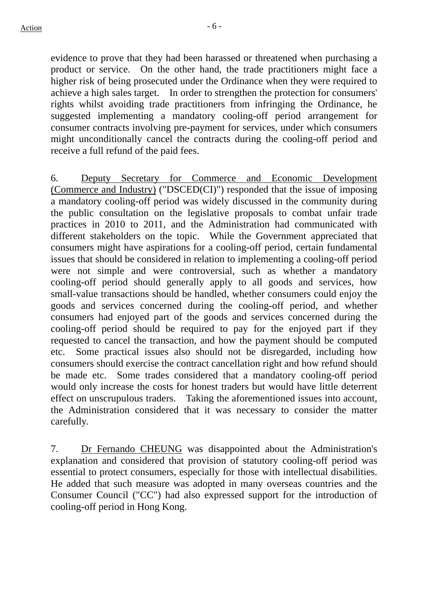evidence to prove that they had been harassed or threatened when purchasing a product or service. On the other hand, the trade practitioners might face a higher risk of being prosecuted under the Ordinance when they were required to achieve a high sales target. In order to strengthen the protection for consumers' rights whilst avoiding trade practitioners from infringing the Ordinance, he suggested implementing a mandatory cooling-off period arrangement for consumer contracts involving pre-payment for services, under which consumers might unconditionally cancel the contracts during the cooling-off period and receive a full refund of the paid fees.

6. Deputy Secretary for Commerce and Economic Development (Commerce and Industry) ("DSCED(CI)") responded that the issue of imposing a mandatory cooling-off period was widely discussed in the community during the public consultation on the legislative proposals to combat unfair trade practices in 2010 to 2011, and the Administration had communicated with different stakeholders on the topic. While the Government appreciated that consumers might have aspirations for a cooling-off period, certain fundamental issues that should be considered in relation to implementing a cooling-off period were not simple and were controversial, such as whether a mandatory cooling-off period should generally apply to all goods and services, how small-value transactions should be handled, whether consumers could enjoy the goods and services concerned during the cooling-off period, and whether consumers had enjoyed part of the goods and services concerned during the cooling-off period should be required to pay for the enjoyed part if they requested to cancel the transaction, and how the payment should be computed etc. Some practical issues also should not be disregarded, including how consumers should exercise the contract cancellation right and how refund should be made etc. Some trades considered that a mandatory cooling-off period would only increase the costs for honest traders but would have little deterrent effect on unscrupulous traders. Taking the aforementioned issues into account, the Administration considered that it was necessary to consider the matter carefully.

7. Dr Fernando CHEUNG was disappointed about the Administration's explanation and considered that provision of statutory cooling-off period was essential to protect consumers, especially for those with intellectual disabilities. He added that such measure was adopted in many overseas countries and the Consumer Council ("CC") had also expressed support for the introduction of cooling-off period in Hong Kong.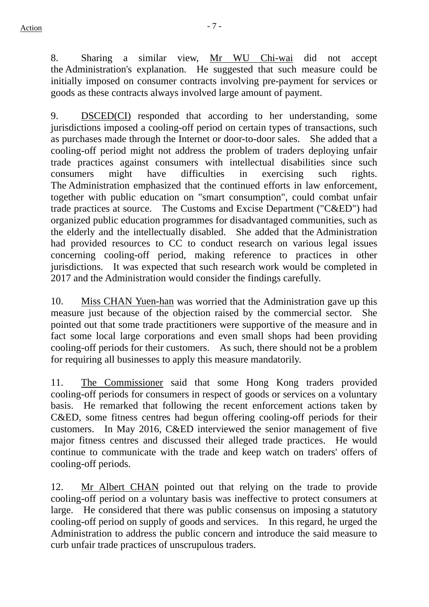8. Sharing a similar view, Mr WU Chi-wai did not accept the Administration's explanation. He suggested that such measure could be initially imposed on consumer contracts involving pre-payment for services or goods as these contracts always involved large amount of payment.

9. DSCED(CI) responded that according to her understanding, some jurisdictions imposed a cooling-off period on certain types of transactions, such as purchases made through the Internet or door-to-door sales. She added that a cooling-off period might not address the problem of traders deploying unfair trade practices against consumers with intellectual disabilities since such consumers might have difficulties in exercising such rights. The Administration emphasized that the continued efforts in law enforcement, together with public education on "smart consumption", could combat unfair trade practices at source. The Customs and Excise Department ("C&ED") had organized public education programmes for disadvantaged communities, such as the elderly and the intellectually disabled. She added that the Administration had provided resources to CC to conduct research on various legal issues concerning cooling-off period, making reference to practices in other jurisdictions. It was expected that such research work would be completed in 2017 and the Administration would consider the findings carefully.

10. Miss CHAN Yuen-han was worried that the Administration gave up this measure just because of the objection raised by the commercial sector. She pointed out that some trade practitioners were supportive of the measure and in fact some local large corporations and even small shops had been providing cooling-off periods for their customers. As such, there should not be a problem for requiring all businesses to apply this measure mandatorily.

11. The Commissioner said that some Hong Kong traders provided cooling-off periods for consumers in respect of goods or services on a voluntary basis. He remarked that following the recent enforcement actions taken by C&ED, some fitness centres had begun offering cooling-off periods for their customers. In May 2016, C&ED interviewed the senior management of five major fitness centres and discussed their alleged trade practices. He would continue to communicate with the trade and keep watch on traders' offers of cooling-off periods.

12. Mr Albert CHAN pointed out that relying on the trade to provide cooling-off period on a voluntary basis was ineffective to protect consumers at large. He considered that there was public consensus on imposing a statutory cooling-off period on supply of goods and services. In this regard, he urged the Administration to address the public concern and introduce the said measure to curb unfair trade practices of unscrupulous traders.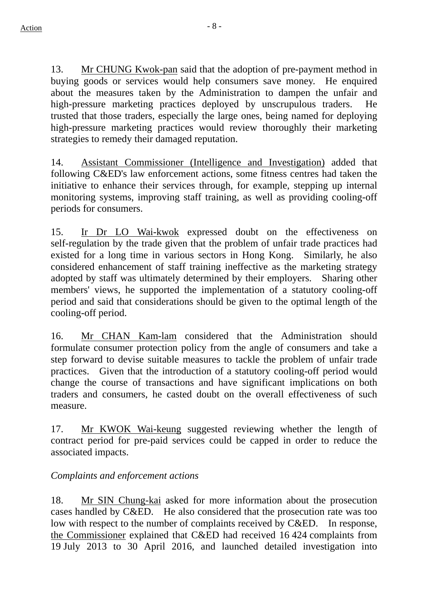13. Mr CHUNG Kwok-pan said that the adoption of pre-payment method in buying goods or services would help consumers save money. He enquired about the measures taken by the Administration to dampen the unfair and high-pressure marketing practices deployed by unscrupulous traders. He trusted that those traders, especially the large ones, being named for deploying high-pressure marketing practices would review thoroughly their marketing strategies to remedy their damaged reputation.

14. Assistant Commissioner (Intelligence and Investigation) added that following C&ED's law enforcement actions, some fitness centres had taken the initiative to enhance their services through, for example, stepping up internal monitoring systems, improving staff training, as well as providing cooling-off periods for consumers.

15. Ir Dr LO Wai-kwok expressed doubt on the effectiveness on self-regulation by the trade given that the problem of unfair trade practices had existed for a long time in various sectors in Hong Kong. Similarly, he also considered enhancement of staff training ineffective as the marketing strategy adopted by staff was ultimately determined by their employers. Sharing other members' views, he supported the implementation of a statutory cooling-off period and said that considerations should be given to the optimal length of the cooling-off period.

16. Mr CHAN Kam-lam considered that the Administration should formulate consumer protection policy from the angle of consumers and take a step forward to devise suitable measures to tackle the problem of unfair trade practices. Given that the introduction of a statutory cooling-off period would change the course of transactions and have significant implications on both traders and consumers, he casted doubt on the overall effectiveness of such measure.

17. Mr KWOK Wai-keung suggested reviewing whether the length of contract period for pre-paid services could be capped in order to reduce the associated impacts.

### *Complaints and enforcement actions*

18. Mr SIN Chung-kai asked for more information about the prosecution cases handled by C&ED. He also considered that the prosecution rate was too low with respect to the number of complaints received by C&ED. In response, the Commissioner explained that C&ED had received 16 424 complaints from 19 July 2013 to 30 April 2016, and launched detailed investigation into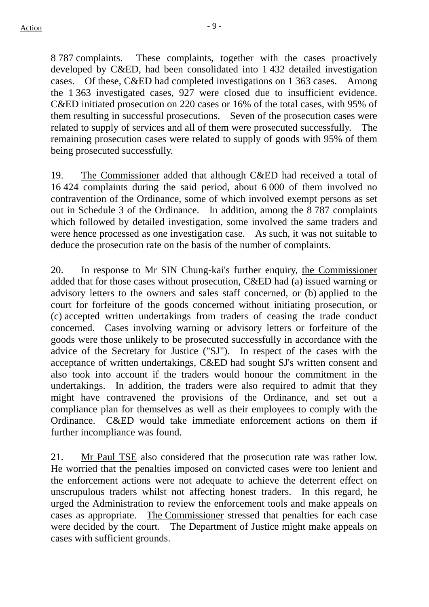8 787 complaints. These complaints, together with the cases proactively developed by C&ED, had been consolidated into 1 432 detailed investigation cases. Of these, C&ED had completed investigations on 1 363 cases. Among the 1 363 investigated cases, 927 were closed due to insufficient evidence. C&ED initiated prosecution on 220 cases or 16% of the total cases, with 95% of them resulting in successful prosecutions. Seven of the prosecution cases were related to supply of services and all of them were prosecuted successfully. The remaining prosecution cases were related to supply of goods with 95% of them being prosecuted successfully.

19. The Commissioner added that although C&ED had received a total of 16 424 complaints during the said period, about 6 000 of them involved no contravention of the Ordinance, some of which involved exempt persons as set out in Schedule 3 of the Ordinance. In addition, among the 8 787 complaints which followed by detailed investigation, some involved the same traders and were hence processed as one investigation case. As such, it was not suitable to deduce the prosecution rate on the basis of the number of complaints.

20. In response to Mr SIN Chung-kai's further enquiry, the Commissioner added that for those cases without prosecution, C&ED had (a) issued warning or advisory letters to the owners and sales staff concerned, or (b) applied to the court for forfeiture of the goods concerned without initiating prosecution, or (c) accepted written undertakings from traders of ceasing the trade conduct concerned. Cases involving warning or advisory letters or forfeiture of the goods were those unlikely to be prosecuted successfully in accordance with the advice of the Secretary for Justice ("SJ"). In respect of the cases with the acceptance of written undertakings, C&ED had sought SJ's written consent and also took into account if the traders would honour the commitment in the undertakings. In addition, the traders were also required to admit that they might have contravened the provisions of the Ordinance, and set out a compliance plan for themselves as well as their employees to comply with the Ordinance. C&ED would take immediate enforcement actions on them if further incompliance was found.

21. Mr Paul TSE also considered that the prosecution rate was rather low. He worried that the penalties imposed on convicted cases were too lenient and the enforcement actions were not adequate to achieve the deterrent effect on unscrupulous traders whilst not affecting honest traders. In this regard, he urged the Administration to review the enforcement tools and make appeals on cases as appropriate. The Commissioner stressed that penalties for each case were decided by the court. The Department of Justice might make appeals on cases with sufficient grounds.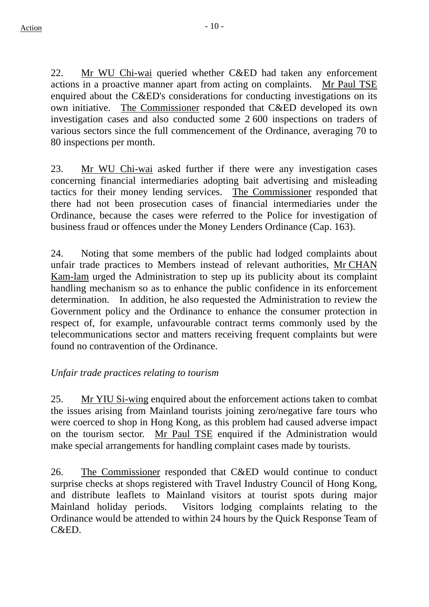22. Mr WU Chi-wai queried whether C&ED had taken any enforcement actions in a proactive manner apart from acting on complaints. Mr Paul TSE enquired about the C&ED's considerations for conducting investigations on its own initiative. The Commissioner responded that C&ED developed its own investigation cases and also conducted some 2 600 inspections on traders of various sectors since the full commencement of the Ordinance, averaging 70 to 80 inspections per month.

23. Mr WU Chi-wai asked further if there were any investigation cases concerning financial intermediaries adopting bait advertising and misleading tactics for their money lending services. The Commissioner responded that there had not been prosecution cases of financial intermediaries under the Ordinance, because the cases were referred to the Police for investigation of business fraud or offences under the Money Lenders Ordinance (Cap. 163).

24. Noting that some members of the public had lodged complaints about unfair trade practices to Members instead of relevant authorities, Mr CHAN Kam-lam urged the Administration to step up its publicity about its complaint handling mechanism so as to enhance the public confidence in its enforcement determination. In addition, he also requested the Administration to review the Government policy and the Ordinance to enhance the consumer protection in respect of, for example, unfavourable contract terms commonly used by the telecommunications sector and matters receiving frequent complaints but were found no contravention of the Ordinance.

### *Unfair trade practices relating to tourism*

25. Mr YIU Si-wing enquired about the enforcement actions taken to combat the issues arising from Mainland tourists joining zero/negative fare tours who were coerced to shop in Hong Kong, as this problem had caused adverse impact on the tourism sector. Mr Paul TSE enquired if the Administration would make special arrangements for handling complaint cases made by tourists.

26. The Commissioner responded that C&ED would continue to conduct surprise checks at shops registered with Travel Industry Council of Hong Kong, and distribute leaflets to Mainland visitors at tourist spots during major Mainland holiday periods. Visitors lodging complaints relating to the Ordinance would be attended to within 24 hours by the Quick Response Team of C&ED.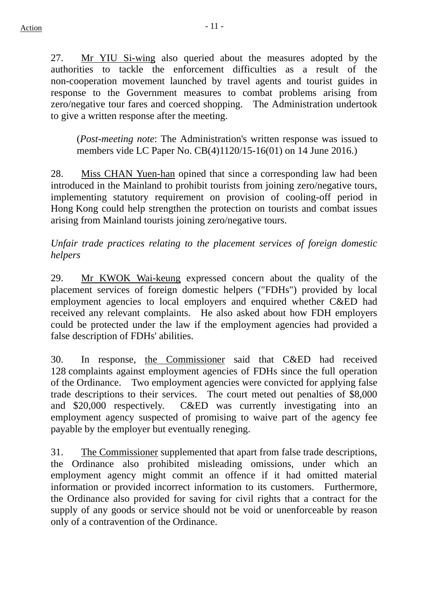27. Mr YIU Si-wing also queried about the measures adopted by the authorities to tackle the enforcement difficulties as a result of the non-cooperation movement launched by travel agents and tourist guides in response to the Government measures to combat problems arising from zero/negative tour fares and coerced shopping. The Administration undertook to give a written response after the meeting.

(*Post-meeting note*: The Administration's written response was issued to members vide LC Paper No. CB(4)1120/15-16(01) on 14 June 2016.)

28. Miss CHAN Yuen-han opined that since a corresponding law had been introduced in the Mainland to prohibit tourists from joining zero/negative tours, implementing statutory requirement on provision of cooling-off period in Hong Kong could help strengthen the protection on tourists and combat issues arising from Mainland tourists joining zero/negative tours.

*Unfair trade practices relating to the placement services of foreign domestic helpers* 

29. Mr KWOK Wai-keung expressed concern about the quality of the placement services of foreign domestic helpers ("FDHs") provided by local employment agencies to local employers and enquired whether C&ED had received any relevant complaints. He also asked about how FDH employers could be protected under the law if the employment agencies had provided a false description of FDHs' abilities.

30. In response, the Commissioner said that C&ED had received 128 complaints against employment agencies of FDHs since the full operation of the Ordinance. Two employment agencies were convicted for applying false trade descriptions to their services. The court meted out penalties of \$8,000 and \$20,000 respectively. C&ED was currently investigating into an employment agency suspected of promising to waive part of the agency fee payable by the employer but eventually reneging.

31. The Commissioner supplemented that apart from false trade descriptions, the Ordinance also prohibited misleading omissions, under which an employment agency might commit an offence if it had omitted material information or provided incorrect information to its customers. Furthermore, the Ordinance also provided for saving for civil rights that a contract for the supply of any goods or service should not be void or unenforceable by reason only of a contravention of the Ordinance.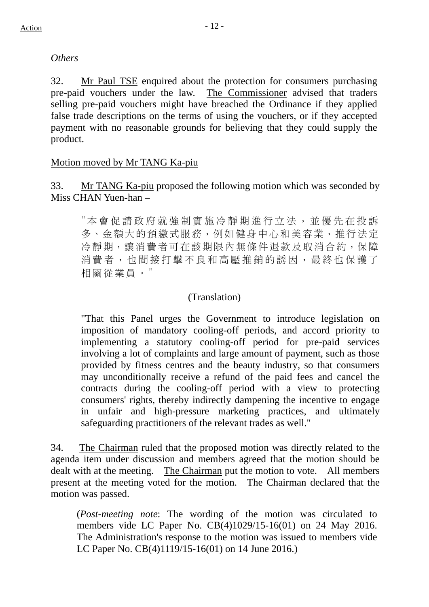#### *Others*

32. Mr Paul TSE enquired about the protection for consumers purchasing pre-paid vouchers under the law. The Commissioner advised that traders selling pre-paid vouchers might have breached the Ordinance if they applied false trade descriptions on the terms of using the vouchers, or if they accepted payment with no reasonable grounds for believing that they could supply the product.

#### Motion moved by Mr TANG Ka-piu

33. Mr TANG Ka-piu proposed the following motion which was seconded by Miss CHAN Yuen-han –

"本會促請政府就強制實施冷靜期進行立法,並優先在投訴 多、金額大的預繳式服務,例如健身中心和美容業,推行法定 冷靜期,讓消費者可在該期限內無條件退款及取消合約,保障 消費者,也間接打擊不良和高壓推銷的誘因,最終也保護了 相關從業員。"

### (Translation)

"That this Panel urges the Government to introduce legislation on imposition of mandatory cooling-off periods, and accord priority to implementing a statutory cooling-off period for pre-paid services involving a lot of complaints and large amount of payment, such as those provided by fitness centres and the beauty industry, so that consumers may unconditionally receive a refund of the paid fees and cancel the contracts during the cooling-off period with a view to protecting consumers' rights, thereby indirectly dampening the incentive to engage in unfair and high-pressure marketing practices, and ultimately safeguarding practitioners of the relevant trades as well."

34. The Chairman ruled that the proposed motion was directly related to the agenda item under discussion and members agreed that the motion should be dealt with at the meeting. The Chairman put the motion to vote. All members present at the meeting voted for the motion. The Chairman declared that the motion was passed.

(*Post-meeting note*: The wording of the motion was circulated to members vide LC Paper No. CB(4)1029/15-16(01) on 24 May 2016. The Administration's response to the motion was issued to members vide LC Paper No. CB(4)1119/15-16(01) on 14 June 2016.)